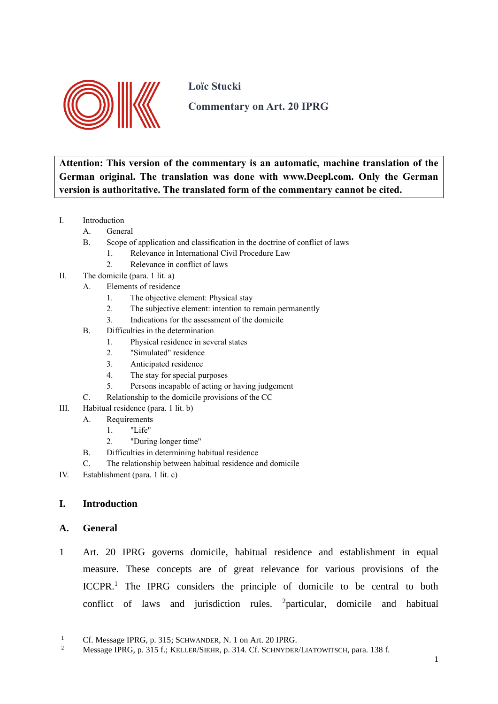

**Loïc Stucki**

**Commentary on Art. 20 IPRG**

**Attention: This version of the commentary is an automatic, machine translation of the German original. The translation was done with www.Deepl.com. Only the German version is authoritative. The translated form of the commentary cannot be cited.**

- I. Introduction
	- A. General
		- B. Scope of application and classification in the doctrine of conflict of laws
			- 1. Relevance in International Civil Procedure Law
			- 2. Relevance in conflict of laws
- II. The domicile (para. 1 lit. a)
	- A. Elements of residence
		- 1. The objective element: Physical stay
		- 2. The subjective element: intention to remain permanently
		- 3. Indications for the assessment of the domicile
	- B. Difficulties in the determination
		- 1. Physical residence in several states
		- 2. "Simulated" residence
		- 3. Anticipated residence
		- 4. The stay for special purposes
		- 5. Persons incapable of acting or having judgement
	- C. Relationship to the domicile provisions of the CC
- III. Habitual residence (para. 1 lit. b)
	- A. Requirements
		- 1. "Life"
		- 2. "During longer time"
	- B. Difficulties in determining habitual residence
	- C. The relationship between habitual residence and domicile
- IV. Establishment (para. 1 lit. c)

# **I. Introduction**

# **A. General**

1 Art. 20 IPRG governs domicile, habitual residence and establishment in equal measure. These concepts are of great relevance for various provisions of the ICCPR.<sup>1</sup> The IPRG considers the principle of domicile to be central to both conflict of laws and jurisdiction rules. <sup>2</sup>particular, domicile and habitual

<sup>&</sup>lt;sup>1</sup> Cf. Message IPRG, p. 315; SCHWANDER, N. 1 on Art. 20 IPRG.<br>Message IPPC  $\sigma$ , 215 f. KELLER STUP,  $\sigma$ , 214 Cf. SCUNNER

<sup>2</sup> Message IPRG, p. 315 f.; KELLER/SIEHR, p. 314. Cf. SCHNYDER/LIATOWITSCH, para. 138 f.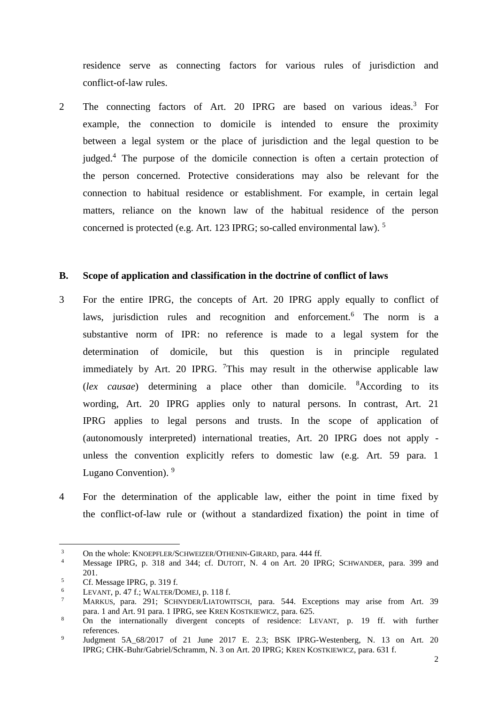residence serve as connecting factors for various rules of jurisdiction and conflict-of-law rules.

2 The connecting factors of Art. 20 IPRG are based on various ideas.<sup>3</sup> For example, the connection to domicile is intended to ensure the proximity between a legal system or the place of jurisdiction and the legal question to be judged.<sup>4</sup> The purpose of the domicile connection is often a certain protection of the person concerned. Protective considerations may also be relevant for the connection to habitual residence or establishment. For example, in certain legal matters, reliance on the known law of the habitual residence of the person concerned is protected (e.g. Art. 123 IPRG; so-called environmental law). 5

#### **B. Scope of application and classification in the doctrine of conflict of laws**

- 3 For the entire IPRG, the concepts of Art. 20 IPRG apply equally to conflict of laws, jurisdiction rules and recognition and enforcement.<sup>6</sup> The norm is a substantive norm of IPR: no reference is made to a legal system for the determination of domicile, but this question is in principle regulated immediately by Art. 20 IPRG.  $\frac{7}{1}$ This may result in the otherwise applicable law (*lex causae*) determining a place other than domicile. <sup>8</sup>According to its wording, Art. 20 IPRG applies only to natural persons. In contrast, Art. 21 IPRG applies to legal persons and trusts. In the scope of application of (autonomously interpreted) international treaties, Art. 20 IPRG does not apply unless the convention explicitly refers to domestic law (e.g. Art. 59 para. 1 Lugano Convention). <sup>9</sup>
- 4 For the determination of the applicable law, either the point in time fixed by the conflict-of-law rule or (without a standardized fixation) the point in time of

<sup>&</sup>lt;sup>3</sup> On the whole: KNOEPFLER/SCHWEIZER/OTHENIN-GIRARD, para. 444 ff.<br> $\frac{4}{\sqrt{3}}$  Message JDDC and 244 and 244 and DUTCUL and  $\frac{4\pi}{30}$  DUDC

Message IPRG, p. 318 and 344; cf. DUTOIT, N. 4 on Art. 20 IPRG; SCHWANDER, para. 399 and 201.

 $5$  Cf. Message IPRG, p. 319 f.

<sup>&</sup>lt;sup>6</sup> LEVANT, p. 47 f.; WALTER/DOMEJ, p. 118 f.

MARKUS, para. 291; SCHNYDER/LIATOWITSCH, para. 544. Exceptions may arise from Art. 39 para. 1 and Art. 91 para. 1 IPRG, see KREN KOSTKIEWICZ, para. 625.

<sup>&</sup>lt;sup>8</sup> On the internationally divergent concepts of residence: LEVANT, p. 19 ff. with further references.

<sup>9</sup> Judgment 5A\_68/2017 of 21 June 2017 E. 2.3; BSK IPRG-Westenberg, N. 13 on Art. 20 IPRG; CHK-Buhr/Gabriel/Schramm, N. 3 on Art. 20 IPRG; KREN KOSTKIEWICZ, para. 631 f.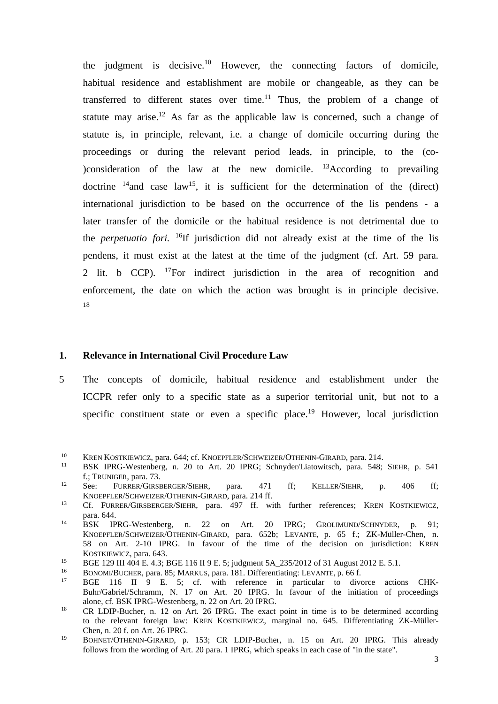the judgment is decisive.<sup>10</sup> However, the connecting factors of domicile, habitual residence and establishment are mobile or changeable, as they can be transferred to different states over time.<sup>11</sup> Thus, the problem of a change of statute may arise.<sup>12</sup> As far as the applicable law is concerned, such a change of statute is, in principle, relevant, i.e. a change of domicile occurring during the proceedings or during the relevant period leads, in principle, to the (co- )consideration of the law at the new domicile.  $^{13}$ According to prevailing doctrine  $14$  and case law<sup>15</sup>, it is sufficient for the determination of the (direct) international jurisdiction to be based on the occurrence of the lis pendens - a later transfer of the domicile or the habitual residence is not detrimental due to the *perpetuatio fori.* <sup>16</sup>If jurisdiction did not already exist at the time of the lis pendens, it must exist at the latest at the time of the judgment (cf. Art. 59 para. 2 lit. b CCP). <sup>17</sup>For indirect jurisdiction in the area of recognition and enforcement, the date on which the action was brought is in principle decisive. 18

# **1. Relevance in International Civil Procedure Law**

5 The concepts of domicile, habitual residence and establishment under the ICCPR refer only to a specific state as a superior territorial unit, but not to a specific constituent state or even a specific place.<sup>19</sup> However, local jurisdiction

<sup>&</sup>lt;sup>10</sup> KREN KOSTKIEWICZ, para. 644; cf. KNOEPFLER/SCHWEIZER/OTHENIN-GIRARD, para. 214.

<sup>11</sup> BSK IPRG-Westenberg, n. 20 to Art. 20 IPRG; Schnyder/Liatowitsch, para. 548; SIEHR, p. 541 f.; TRUNIGER, para. 73.

<sup>&</sup>lt;sup>12</sup> See: FURRER/GIRSBERGER/SIEHR, para. 471 ff; KELLER/SIEHR, p. 406 ff; KNOEPFLER/SCHWEIZER/OTHENIN-GIRARD, para. 214 ff.

<sup>&</sup>lt;sup>13</sup> Cf. FURRER/GIRSBERGER/SIEHR, para. 497 ff. with further references; KREN KOSTKIEWICZ, para. 644.

<sup>&</sup>lt;sup>14</sup> BSK IPRG-Westenberg, n. 22 on Art. 20 IPRG; GROLIMUND/SCHNYDER, p. 91; KNOEPFLER/SCHWEIZER/OTHENIN-GIRARD, para. 652b; LEVANTE, p. 65 f.; ZK-Müller-Chen, n. 58 on Art. 2-10 IPRG. In favour of the time of the decision on jurisdiction: KREN KOSTKIEWICZ, para. 643.

<sup>15</sup> BGE 129 III 404 E. 4.3; BGE 116 II 9 E. 5; judgment 5A\_235/2012 of 31 August 2012 E. 5.1.

<sup>&</sup>lt;sup>16</sup> BONOMI/BUCHER, para. 85; MARKUS, para. 181. Differentiating: LEVANTE, p. 66 f.<br><sup>17</sup> BCE 116 H 0 E 5: of with reference in pertially to dive

<sup>&</sup>lt;sup>17</sup> BGE 116 II 9 E. 5; cf. with reference in particular to divorce actions CHK-Buhr/Gabriel/Schramm, N. 17 on Art. 20 IPRG. In favour of the initiation of proceedings alone, cf. BSK IPRG-Westenberg, n. 22 on Art. 20 IPRG.

<sup>&</sup>lt;sup>18</sup> CR LDIP-Bucher, n. 12 on Art. 26 IPRG. The exact point in time is to be determined according to the relevant foreign law: KREN KOSTKIEWICZ, marginal no. 645. Differentiating ZK-Müller-Chen, n. 20 f. on Art. 26 IPRG.

<sup>19</sup> BOHNET/OTHENIN-GIRARD, p. 153; CR LDIP-Bucher, n. 15 on Art. 20 IPRG. This already follows from the wording of Art. 20 para. 1 IPRG, which speaks in each case of "in the state".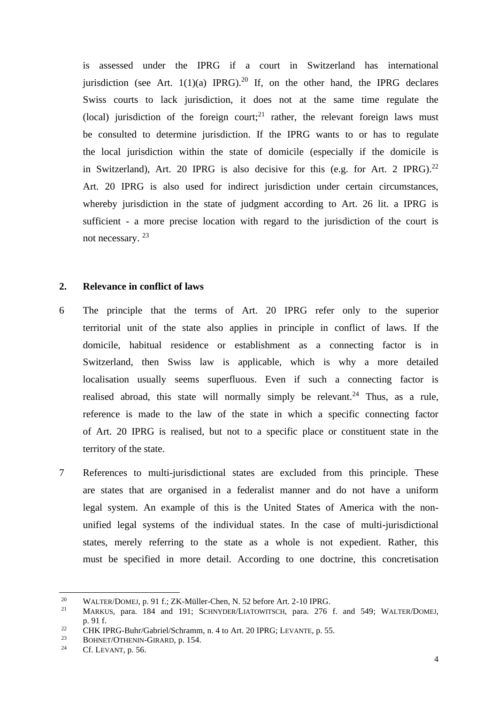is assessed under the IPRG if a court in Switzerland has international jurisdiction (see Art.  $1(1)(a)$  IPRG).<sup>20</sup> If, on the other hand, the IPRG declares Swiss courts to lack jurisdiction, it does not at the same time regulate the (local) jurisdiction of the foreign court;<sup>21</sup> rather, the relevant foreign laws must be consulted to determine jurisdiction. If the IPRG wants to or has to regulate the local jurisdiction within the state of domicile (especially if the domicile is in Switzerland), Art. 20 IPRG is also decisive for this (e.g. for Art. 2 IPRG).<sup>22</sup> Art. 20 IPRG is also used for indirect jurisdiction under certain circumstances, whereby jurisdiction in the state of judgment according to Art. 26 lit. a IPRG is sufficient - a more precise location with regard to the jurisdiction of the court is not necessary.<sup>23</sup>

## **2. Relevance in conflict of laws**

- 6 The principle that the terms of Art. 20 IPRG refer only to the superior territorial unit of the state also applies in principle in conflict of laws. If the domicile, habitual residence or establishment as a connecting factor is in Switzerland, then Swiss law is applicable, which is why a more detailed localisation usually seems superfluous. Even if such a connecting factor is realised abroad, this state will normally simply be relevant.<sup>24</sup> Thus, as a rule, reference is made to the law of the state in which a specific connecting factor of Art. 20 IPRG is realised, but not to a specific place or constituent state in the territory of the state.
- 7 References to multi-jurisdictional states are excluded from this principle. These are states that are organised in a federalist manner and do not have a uniform legal system. An example of this is the United States of America with the nonunified legal systems of the individual states. In the case of multi-jurisdictional states, merely referring to the state as a whole is not expedient. Rather, this must be specified in more detail. According to one doctrine, this concretisation

<sup>&</sup>lt;sup>20</sup> WALTER/DOMEJ, p. 91 f.; ZK-Müller-Chen, N. 52 before Art. 2-10 IPRG.<br><sup>21</sup> MARKUS, para. 184, and 191; SCUNNDER/LATOWITSCH, para. 276

MARKUS, para. 184 and 191; SCHNYDER/LIATOWITSCH, para. 276 f. and 549; WALTER/DOMEJ, p. 91 f.

<sup>&</sup>lt;sup>22</sup> CHK IPRG-Buhr/Gabriel/Schramm, n. 4 to Art. 20 IPRG; LEVANTE, p. 55.<br>BOUNET/OTHENIN GIRARD n. 154

<sup>&</sup>lt;sup>23</sup> BOHNET/OTHENIN-GIRARD, p. 154.

Cf. LEVANT, p. 56.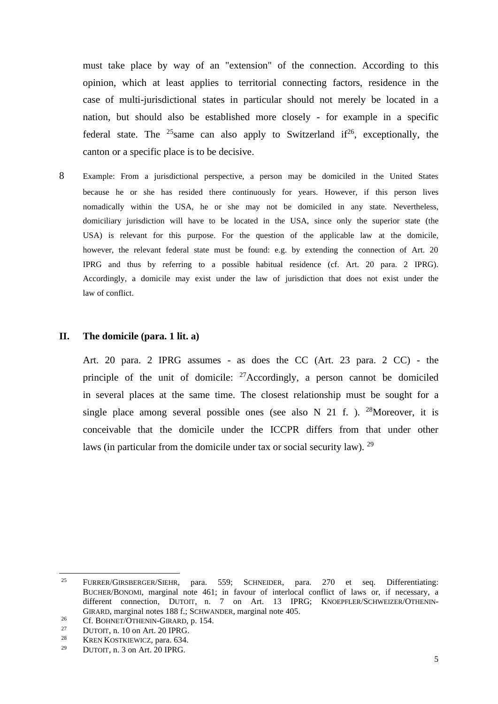must take place by way of an "extension" of the connection. According to this opinion, which at least applies to territorial connecting factors, residence in the case of multi-jurisdictional states in particular should not merely be located in a nation, but should also be established more closely - for example in a specific federal state. The <sup>25</sup>same can also apply to Switzerland if<sup>26</sup>, exceptionally, the canton or a specific place is to be decisive.

8 Example: From a jurisdictional perspective, a person may be domiciled in the United States because he or she has resided there continuously for years. However, if this person lives nomadically within the USA, he or she may not be domiciled in any state. Nevertheless, domiciliary jurisdiction will have to be located in the USA, since only the superior state (the USA) is relevant for this purpose. For the question of the applicable law at the domicile, however, the relevant federal state must be found: e.g. by extending the connection of Art. 20 IPRG and thus by referring to a possible habitual residence (cf. Art. 20 para. 2 IPRG). Accordingly, a domicile may exist under the law of jurisdiction that does not exist under the law of conflict.

#### **II. The domicile (para. 1 lit. a)**

Art. 20 para. 2 IPRG assumes - as does the CC (Art. 23 para. 2 CC) - the principle of the unit of domicile:  $27$  Accordingly, a person cannot be domiciled in several places at the same time. The closest relationship must be sought for a single place among several possible ones (see also N 21 f.). <sup>28</sup>Moreover, it is conceivable that the domicile under the ICCPR differs from that under other laws (in particular from the domicile under tax or social security law). <sup>29</sup>

<sup>25</sup> FURRER/GIRSBERGER/SIEHR, para. 559; SCHNEIDER, para. 270 et seq. Differentiating: BUCHER/BONOMI, marginal note 461; in favour of interlocal conflict of laws or, if necessary, a different connection, DUTOIT, n. 7 on Art. 13 IPRG; KNOEPFLER/SCHWEIZER/OTHENIN-GIRARD, marginal notes 188 f.; SCHWANDER, marginal note 405.

<sup>&</sup>lt;sup>26</sup> Cf. BOHNET/OTHENIN-GIRARD, p. 154.

<sup>&</sup>lt;sup>27</sup> DUTOIT, n. 10 on Art. 20 IPRG.<br><sup>28</sup> KPEN KOSTKIEWICZ, para 634

<sup>&</sup>lt;sup>28</sup> KREN KOSTKIEWICZ, para. 634.

DUTOIT, n. 3 on Art. 20 IPRG.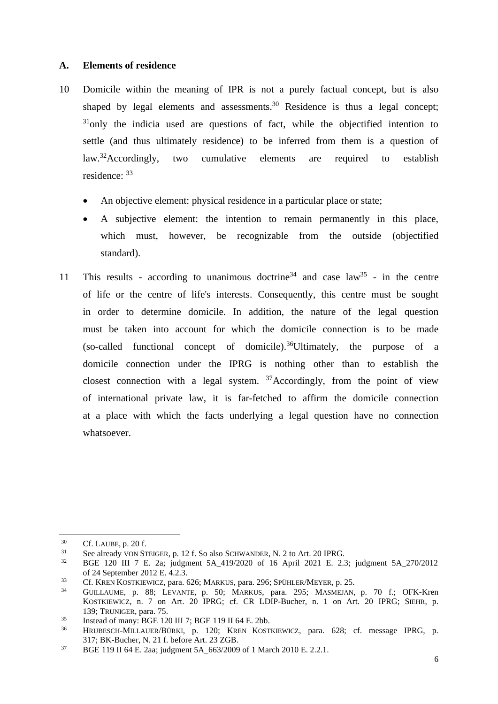## **A. Elements of residence**

- 10 Domicile within the meaning of IPR is not a purely factual concept, but is also shaped by legal elements and assessments.<sup>30</sup> Residence is thus a legal concept:  $31$ <sub>only</sub> the indicia used are questions of fact, while the objectified intention to settle (and thus ultimately residence) to be inferred from them is a question of law.<sup>32</sup>Accordingly, two cumulative elements are required to establish residence: <sup>33</sup>
	- An objective element: physical residence in a particular place or state;
	- A subjective element: the intention to remain permanently in this place, which must, however, be recognizable from the outside (objectified standard).
- 11 This results according to unanimous doctrine<sup>34</sup> and case  $law^{35}$  in the centre of life or the centre of life's interests. Consequently, this centre must be sought in order to determine domicile. In addition, the nature of the legal question must be taken into account for which the domicile connection is to be made (so-called functional concept of domicile).<sup>36</sup>Ultimately, the purpose of a domicile connection under the IPRG is nothing other than to establish the closest connection with a legal system.  $37$  Accordingly, from the point of view of international private law, it is far-fetched to affirm the domicile connection at a place with which the facts underlying a legal question have no connection whatsoever.

 $^{30}$  Cf. LAUBE, p. 20 f.

<sup>&</sup>lt;sup>31</sup> See already VON STEIGER, p. 12 f. So also SCHWANDER, N. 2 to Art. 20 IPRG.

<sup>32</sup> BGE 120 III 7 E. 2a; judgment 5A\_419/2020 of 16 April 2021 E. 2.3; judgment 5A\_270/2012 of 24 September 2012 E. 4.2.3.

<sup>&</sup>lt;sup>33</sup> Cf. KREN KOSTKIEWICZ, para. 626; MARKUS, para. 296; SPÜHLER/MEYER, p. 25.

<sup>34</sup> GUILLAUME, p. 88; LEVANTE, p. 50; MARKUS, para. 295; MASMEJAN, p. 70 f.; OFK-Kren KOSTKIEWICZ, n. 7 on Art. 20 IPRG; cf. CR LDIP-Bucher, n. 1 on Art. 20 IPRG; SIEHR, p. 139; TRUNIGER, para. 75.

<sup>&</sup>lt;sup>35</sup> Instead of many: BGE 120 III 7; BGE 119 II 64 E. 2bb.<br><sup>36</sup> HDUDESCU MILAUED BUDEL R. 120: KBEN, KOSTI

<sup>36</sup> HRUBESCH-MILLAUER/BÜRKI, p. 120; KREN KOSTKIEWICZ, para. 628; cf. message IPRG, p. 317; BK-Bucher, N. 21 f. before Art. 23 ZGB.

<sup>&</sup>lt;sup>37</sup> BGE 119 II 64 E. 2aa; judgment 5A 663/2009 of 1 March 2010 E. 2.2.1.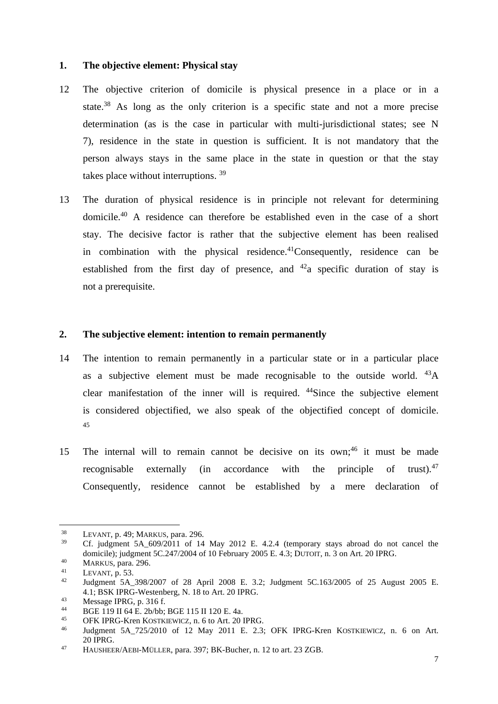# **1. The objective element: Physical stay**

- 12 The objective criterion of domicile is physical presence in a place or in a state.<sup>38</sup> As long as the only criterion is a specific state and not a more precise determination (as is the case in particular with multi-jurisdictional states; see N 7), residence in the state in question is sufficient. It is not mandatory that the person always stays in the same place in the state in question or that the stay takes place without interruptions.<sup>39</sup>
- 13 The duration of physical residence is in principle not relevant for determining domicile.<sup>40</sup> A residence can therefore be established even in the case of a short stay. The decisive factor is rather that the subjective element has been realised in combination with the physical residence.<sup>41</sup>Consequently, residence can be established from the first day of presence, and  $42a$  specific duration of stay is not a prerequisite.

# **2. The subjective element: intention to remain permanently**

- 14 The intention to remain permanently in a particular state or in a particular place as a subjective element must be made recognisable to the outside world.  $^{43}$ A clear manifestation of the inner will is required. <sup>44</sup>Since the subjective element is considered objectified, we also speak of the objectified concept of domicile. 45
- 15 The internal will to remain cannot be decisive on its own; <sup>46</sup> it must be made recognisable externally (in accordance with the principle of trust).<sup>47</sup> Consequently, residence cannot be established by a mere declaration of

<sup>&</sup>lt;sup>38</sup> LEVANT, p. 49; MARKUS, para. 296.<br><sup>39</sup> Cf. judgment 5A 609/2011 of 14

Cf. judgment  $5A_609/2011$  of 14 May 2012 E. 4.2.4 (temporary stays abroad do not cancel the domicile); judgment 5C.247/2004 of 10 February 2005 E. 4.3; DUTOIT, n. 3 on Art. 20 IPRG.

 $^{40}$  MARKUS, para. 296.

<sup>&</sup>lt;sup>41</sup> LEVANT, p. 53.<br> $\frac{42}{110}$  Ludoment 5A

<sup>42</sup> Judgment 5A\_398/2007 of 28 April 2008 E. 3.2; Judgment 5C.163/2005 of 25 August 2005 E. 4.1; BSK IPRG-Westenberg, N. 18 to Art. 20 IPRG.

 $^{43}$  Message IPRG, p. 316 f.

<sup>44</sup> BGE 119 II 64 E. 2b/bb; BGE 115 II 120 E. 4a.

<sup>&</sup>lt;sup>45</sup> OFK IPRG-Kren KOSTKIEWICZ, n. 6 to Art. 20 IPRG.<br><sup>46</sup> Indemant, 5.4, 725/2010, of 12 May 2011, E. 2.3:

Judgment 5A\_725/2010 of 12 May 2011 E. 2.3; OFK IPRG-Kren KOSTKIEWICZ, n. 6 on Art. 20 IPRG.

<sup>47</sup> HAUSHEER/AEBI-MÜLLER, para. 397; BK-Bucher, n. 12 to art. 23 ZGB.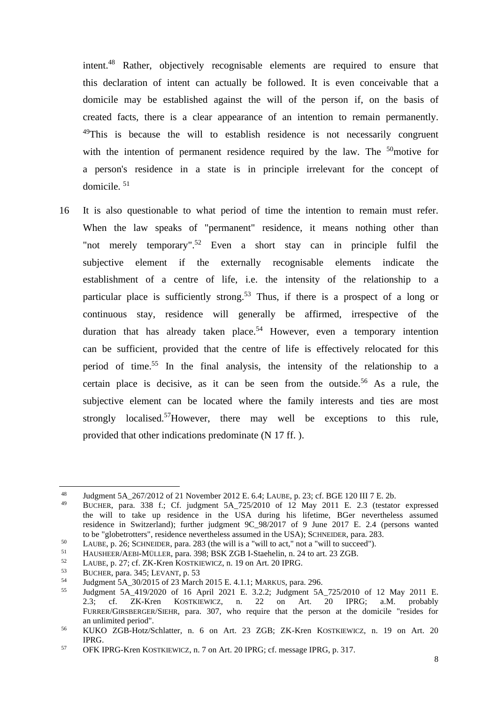intent.<sup>48</sup> Rather, objectively recognisable elements are required to ensure that this declaration of intent can actually be followed. It is even conceivable that a domicile may be established against the will of the person if, on the basis of created facts, there is a clear appearance of an intention to remain permanently.  $^{49}$ This is because the will to establish residence is not necessarily congruent with the intention of permanent residence required by the law. The  $50<sub>0</sub>$  motive for a person's residence in a state is in principle irrelevant for the concept of domicile. <sup>51</sup>

16 It is also questionable to what period of time the intention to remain must refer. When the law speaks of "permanent" residence, it means nothing other than "not merely temporary".<sup>52</sup> Even a short stay can in principle fulfil the subjective element if the externally recognisable elements indicate the establishment of a centre of life, i.e. the intensity of the relationship to a particular place is sufficiently strong.<sup>53</sup> Thus, if there is a prospect of a long or continuous stay, residence will generally be affirmed, irrespective of the duration that has already taken place.<sup>54</sup> However, even a temporary intention can be sufficient, provided that the centre of life is effectively relocated for this period of time. <sup>55</sup> In the final analysis, the intensity of the relationship to a certain place is decisive, as it can be seen from the outside.<sup>56</sup> As a rule, the subjective element can be located where the family interests and ties are most strongly localised.<sup>57</sup>However, there may well be exceptions to this rule, provided that other indications predominate (N 17 ff. ).

<sup>&</sup>lt;sup>48</sup> Judgment 5A\_267/2012 of 21 November 2012 E. 6.4; LAUBE, p. 23; cf. BGE 120 III 7 E. 2b.<br><sup>49</sup> PMCUER 2001 and 228 f. Cf. indemnati 5A\_225/2010, of 12 May 2011 E. 2.2 (testate

<sup>49</sup> BUCHER, para. 338 f.; Cf. judgment 5A\_725/2010 of 12 May 2011 E. 2.3 (testator expressed the will to take up residence in the USA during his lifetime, BGer nevertheless assumed residence in Switzerland); further judgment 9C\_98/2017 of 9 June 2017 E. 2.4 (persons wanted to be "globetrotters", residence nevertheless assumed in the USA); SCHNEIDER, para. 283.

<sup>&</sup>lt;sup>50</sup> LAUBE, p. 26; SCHNEIDER, para. 283 (the will is a "will to act," not a "will to succeed").<br> $\frac{51}{10}$  HAUSHEED/AEBLMÜLLER, para. 398: BSK ZGB LStaebelin, p. 24 to art. 23 ZGB

<sup>&</sup>lt;sup>51</sup> HAUSHEER/AEBI-MÜLLER, para. 398; BSK ZGB I-Staehelin, n. 24 to art. 23 ZGB.<br> $\frac{52}{14}$  J MULE 2.27 of ZK Keep KOSTKUWGZ, n. 10 on Art. 20 JDDC.

<sup>&</sup>lt;sup>52</sup> LAUBE, p. 27; cf. ZK-Kren KOSTKIEWICZ, n. 19 on Art. 20 IPRG.<br> $^{53}$  RUCUER para 345: I EVANT p. 53

<sup>&</sup>lt;sup>53</sup> BUCHER, para. 345; LEVANT, p. 53<br>54 Ludemant 5.A. 20/2015 of 22 Mars

<sup>54</sup> Judgment 5A\_30/2015 of 23 March 2015 E. 4.1.1; MARKUS, para. 296.

Judgment 5A\_419/2020 of 16 April 2021 E. 3.2.2; Judgment 5A\_725/2010 of 12 May 2011 E.<br>2.3: cf. ZK-Kren KOSTKIEWICZ, n. 22 on Art. 20 IPRG; a.M. probably 2.3; cf. ZK-Kren KOSTKIEWICZ, n. 22 on FURRER/GIRSBERGER/SIEHR, para. 307, who require that the person at the domicile "resides for an unlimited period".

<sup>56</sup> KUKO ZGB-Hotz/Schlatter, n. 6 on Art. 23 ZGB; ZK-Kren KOSTKIEWICZ, n. 19 on Art. 20 IPRG.

<sup>57</sup> OFK IPRG-Kren KOSTKIEWICZ, n. 7 on Art. 20 IPRG; cf. message IPRG, p. 317.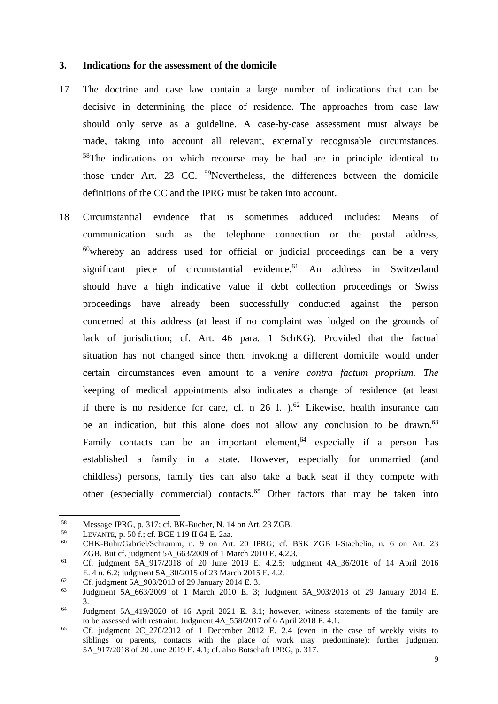## **3. Indications for the assessment of the domicile**

- 17 The doctrine and case law contain a large number of indications that can be decisive in determining the place of residence. The approaches from case law should only serve as a guideline. A case-by-case assessment must always be made, taking into account all relevant, externally recognisable circumstances. <sup>58</sup>The indications on which recourse may be had are in principle identical to those under Art. 23 CC.  $59$ Nevertheless, the differences between the domicile definitions of the CC and the IPRG must be taken into account.
- 18 Circumstantial evidence that is sometimes adduced includes: Means of communication such as the telephone connection or the postal address,  $60$  whereby an address used for official or judicial proceedings can be a very significant piece of circumstantial evidence.<sup>61</sup> An address in Switzerland should have a high indicative value if debt collection proceedings or Swiss proceedings have already been successfully conducted against the person concerned at this address (at least if no complaint was lodged on the grounds of lack of jurisdiction; cf. Art. 46 para. 1 SchKG). Provided that the factual situation has not changed since then, invoking a different domicile would under certain circumstances even amount to a *venire contra factum proprium. The*  keeping of medical appointments also indicates a change of residence (at least if there is no residence for care, cf. n  $26$  f.  $)$ ,  $62$  Likewise, health insurance can be an indication, but this alone does not allow any conclusion to be drawn.<sup>63</sup> Family contacts can be an important element,  $64$  especially if a person has established a family in a state. However, especially for unmarried (and childless) persons, family ties can also take a back seat if they compete with other (especially commercial) contacts. <sup>65</sup> Other factors that may be taken into

<sup>59</sup> LEVANTE, p. 50 f.; cf. BGE 119 II 64 E. 2aa.<br> $\frac{60}{2}$  CHV Buhr/Gobriel/Sebremm n 0, on Art

<sup>&</sup>lt;sup>58</sup> Message IPRG, p. 317; cf. BK-Bucher, N. 14 on Art. 23 ZGB.<br> $^{59}$  I EVANTE p. 50 f : cf. BGE 110 II 64 E. 233

<sup>60</sup> CHK-Buhr/Gabriel/Schramm, n. 9 on Art. 20 IPRG; cf. BSK ZGB I-Staehelin, n. 6 on Art. 23 ZGB. But cf. judgment 5A\_663/2009 of 1 March 2010 E. 4.2.3.

<sup>61</sup> Cf. judgment 5A\_917/2018 of 20 June 2019 E. 4.2.5; judgment 4A\_36/2016 of 14 April 2016 E. 4 u. 6.2; judgment 5A\_30/2015 of 23 March 2015 E. 4.2.

<sup>62</sup> Cf. judgment 5A\_903/2013 of 29 January 2014 E. 3.

Judgment 5A 663/2009 of 1 March 2010 E. 3; Judgment 5A 903/2013 of 29 January 2014 E. 3.

<sup>&</sup>lt;sup>64</sup> Judgment 5A 419/2020 of 16 April 2021 E. 3.1; however, witness statements of the family are to be assessed with restraint: Judgment 4A\_558/2017 of 6 April 2018 E. 4.1.

<sup>65</sup> Cf. judgment 2C\_270/2012 of 1 December 2012 E. 2.4 (even in the case of weekly visits to siblings or parents, contacts with the place of work may predominate); further judgment 5A\_917/2018 of 20 June 2019 E. 4.1; cf. also Botschaft IPRG, p. 317.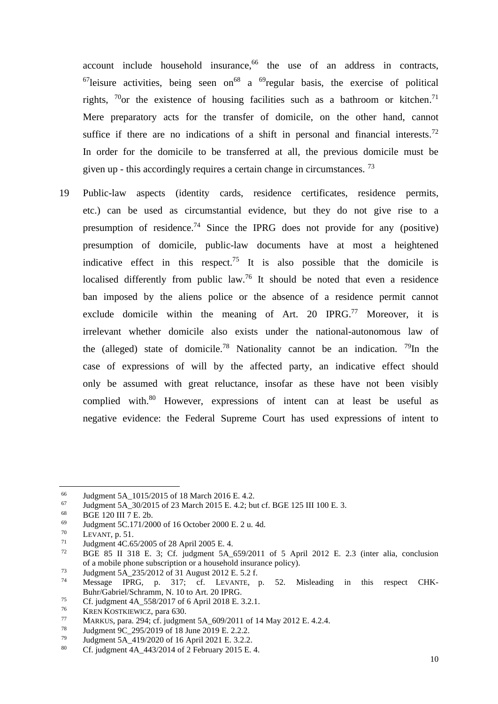account include household insurance, <sup>66</sup> the use of an address in contracts,  $^{67}$ leisure activities, being seen on<sup>68</sup> a  $^{69}$ regular basis, the exercise of political rights,  $70$ or the existence of housing facilities such as a bathroom or kitchen.<sup>71</sup> Mere preparatory acts for the transfer of domicile, on the other hand, cannot suffice if there are no indications of a shift in personal and financial interests.<sup>72</sup> In order for the domicile to be transferred at all, the previous domicile must be given up - this accordingly requires a certain change in circumstances. <sup>73</sup>

19 Public-law aspects (identity cards, residence certificates, residence permits, etc.) can be used as circumstantial evidence, but they do not give rise to a presumption of residence.<sup>74</sup> Since the IPRG does not provide for any (positive) presumption of domicile, public-law documents have at most a heightened indicative effect in this respect.<sup>75</sup> It is also possible that the domicile is localised differently from public law.<sup>76</sup> It should be noted that even a residence ban imposed by the aliens police or the absence of a residence permit cannot exclude domicile within the meaning of Art. 20 IPRG.<sup>77</sup> Moreover, it is irrelevant whether domicile also exists under the national-autonomous law of the (alleged) state of domicile.<sup>78</sup> Nationality cannot be an indication. <sup>79</sup>In the case of expressions of will by the affected party, an indicative effect should only be assumed with great reluctance, insofar as these have not been visibly complied with.<sup>80</sup> However, expressions of intent can at least be useful as negative evidence: the Federal Supreme Court has used expressions of intent to

<sup>&</sup>lt;sup>66</sup> Judgment 5A\_1015/2015 of 18 March 2016 E. 4.2.<br><sup>67</sup> Iudgment 5A 30/2015 of 23 March 2015 E. 4.2: but

 $^{67}$  Judgment 5A\_30/2015 of 23 March 2015 E. 4.2; but cf. BGE 125 III 100 E. 3.<br><sup>68</sup> BGE 120 III 7 E. 2b

 $^{68}$  BGE 120 III 7 E. 2b.<br> $^{69}$  Iudoment 5C 171/200

<sup>&</sup>lt;sup>69</sup> Judgment 5C.171/2000 of 16 October 2000 E. 2 u. 4d.<br><sup>70</sup> I EVANT **P** 51

 $\frac{70}{71}$  LEVANT, p. 51.

<sup>&</sup>lt;sup>71</sup> Judgment 4C.65/2005 of 28 April 2005 E. 4.<br> $72\qquad \text{BCE}$  85 H 218 E. 2. Gf. indemant 5 A

<sup>72</sup> BGE 85 II 318 E. 3; Cf. judgment 5A\_659/2011 of 5 April 2012 E. 2.3 (inter alia, conclusion of a mobile phone subscription or a household insurance policy).

<sup>73</sup> Judgment 5A\_235/2012 of 31 August 2012 E. 5.2 f.

Message IPRG, p. 317; cf. LEVANTE, p. 52. Misleading in this respect CHK-Buhr/Gabriel/Schramm, N. 10 to Art. 20 IPRG.

<sup>75</sup> Cf. judgment  $4A_{558/2017}$  of 6 April 2018 E. 3.2.1.<br>  $76$  KPEN KOSTKIEWICZ, para 630

 $\frac{76}{77}$  KREN KOSTKIEWICZ, para 630.

<sup>77</sup> MARKUS, para. 294; cf. judgment 5A\_609/2011 of 14 May 2012 E. 4.2.4.

<sup>78</sup> Judgment  $9C_{2}95/2019$  of 18 June 2019 E. 2.2.2.<br>
79 Judgment 5A 419/2020 of 16 April 2021 E 3.2.2.

<sup>79</sup> Judgment 5A\_419/2020 of 16 April 2021 E. 3.2.2.<br>80 Cf independ 4A\_442/2014 of 2 Eshmony 2015 E.

Cf. judgment  $4A$   $443/2014$  of 2 February 2015 E. 4.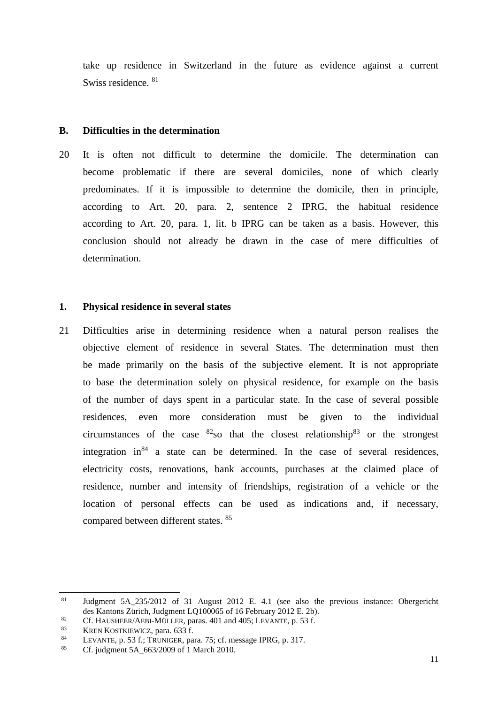take up residence in Switzerland in the future as evidence against a current Swiss residence. <sup>81</sup>

## **B. Difficulties in the determination**

20 It is often not difficult to determine the domicile. The determination can become problematic if there are several domiciles, none of which clearly predominates. If it is impossible to determine the domicile, then in principle, according to Art. 20, para. 2, sentence 2 IPRG, the habitual residence according to Art. 20, para. 1, lit. b IPRG can be taken as a basis. However, this conclusion should not already be drawn in the case of mere difficulties of determination.

# **1. Physical residence in several states**

21 Difficulties arise in determining residence when a natural person realises the objective element of residence in several States. The determination must then be made primarily on the basis of the subjective element. It is not appropriate to base the determination solely on physical residence, for example on the basis of the number of days spent in a particular state. In the case of several possible residences, even more consideration must be given to the individual circumstances of the case  ${}^{82}$ so that the closest relationship ${}^{83}$  or the strongest integration in $84$  a state can be determined. In the case of several residences, electricity costs, renovations, bank accounts, purchases at the claimed place of residence, number and intensity of friendships, registration of a vehicle or the location of personal effects can be used as indications and, if necessary, compared between different states. <sup>85</sup>

<sup>81</sup> Judgment 5A\_235/2012 of 31 August 2012 E. 4.1 (see also the previous instance: Obergericht des Kantons Zürich, Judgment LQ100065 of 16 February 2012 E. 2b).

<sup>82</sup> Cf. HAUSHEER/AEBI-MÜLLER, paras. 401 and 405; LEVANTE, p. 53 f.<br> $\frac{83}{2}$  KBEN KOSTKUNICZ, para 623 f.

<sup>&</sup>lt;sup>83</sup> KREN KOSTKIEWICZ, para. 633 f.<br> $V = \frac{1 \text{ EVANTE}}{1 \text{ EVANTE}}$ 

<sup>&</sup>lt;sup>84</sup> LEVANTE, p. 53 f.; TRUNIGER, para. 75; cf. message IPRG, p. 317.<br><sup>85</sup> Cf. independent 5.A. 662/2000 of 1 March 2010.

Cf. judgment 5A 663/2009 of 1 March 2010.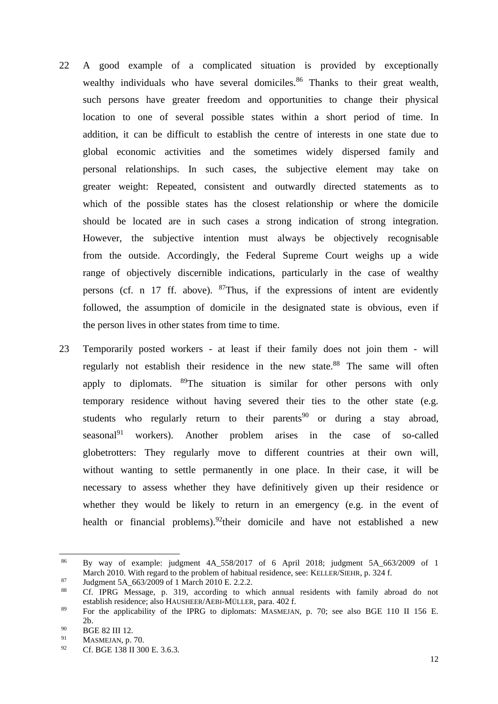- 22 A good example of a complicated situation is provided by exceptionally wealthy individuals who have several domiciles.<sup>86</sup> Thanks to their great wealth, such persons have greater freedom and opportunities to change their physical location to one of several possible states within a short period of time. In addition, it can be difficult to establish the centre of interests in one state due to global economic activities and the sometimes widely dispersed family and personal relationships. In such cases, the subjective element may take on greater weight: Repeated, consistent and outwardly directed statements as to which of the possible states has the closest relationship or where the domicile should be located are in such cases a strong indication of strong integration. However, the subjective intention must always be objectively recognisable from the outside. Accordingly, the Federal Supreme Court weighs up a wide range of objectively discernible indications, particularly in the case of wealthy persons (cf. n 17 ff. above).  $87$ Thus, if the expressions of intent are evidently followed, the assumption of domicile in the designated state is obvious, even if the person lives in other states from time to time.
- 23 Temporarily posted workers at least if their family does not join them will regularly not establish their residence in the new state.<sup>88</sup> The same will often apply to diplomats. <sup>89</sup>The situation is similar for other persons with only temporary residence without having severed their ties to the other state (e.g. students who regularly return to their parents<sup>90</sup> or during a stay abroad, seasonal<sup>91</sup> workers). Another problem arises in the case of so-called globetrotters: They regularly move to different countries at their own will, without wanting to settle permanently in one place. In their case, it will be necessary to assess whether they have definitively given up their residence or whether they would be likely to return in an emergency (e.g. in the event of health or financial problems).<sup>92</sup>their domicile and have not established a new

 $86$  By way of example: judgment 4A 558/2017 of 6 April 2018; judgment 5A 663/2009 of 1 March 2010. With regard to the problem of habitual residence, see: KELLER/SIEHR, p. 324 f.

 $^{87}$  Judgment 5A\_663/2009 of 1 March 2010 E. 2.2.2.<br> $^{88}$  Cf, IDDC, Marcage and 210, association to sub-

<sup>88</sup> Cf. IPRG Message, p. 319, according to which annual residents with family abroad do not establish residence; also HAUSHEER/AEBI-MÜLLER, para. 402 f.

<sup>89</sup> For the applicability of the IPRG to diplomats: MASMEJAN, p. 70; see also BGE 110 II 156 E. 2b.

 $^{90}$  BGE 82 III 12.

<sup>&</sup>lt;sup>91</sup> MASMEJAN, p. 70.<br>  $^{92}$  Cf PCE 128 H 20

Cf. BGE 138 II 300 E. 3.6.3.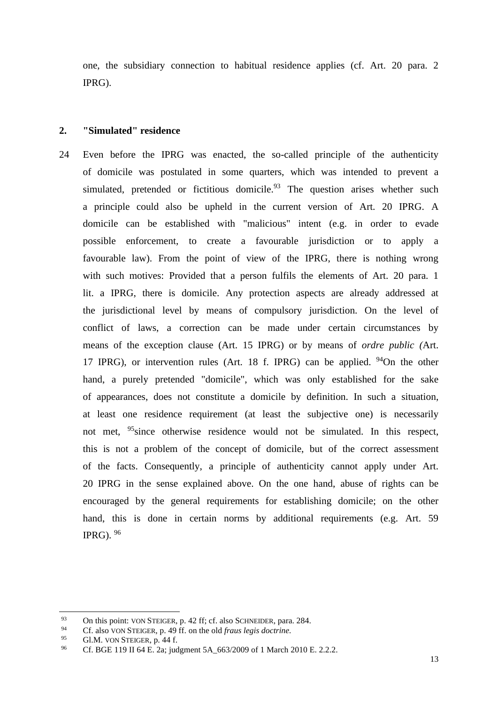one, the subsidiary connection to habitual residence applies (cf. Art. 20 para. 2 IPRG).

#### **2. "Simulated" residence**

24 Even before the IPRG was enacted, the so-called principle of the authenticity of domicile was postulated in some quarters, which was intended to prevent a simulated, pretended or fictitious domicile. $93$  The question arises whether such a principle could also be upheld in the current version of Art. 20 IPRG. A domicile can be established with "malicious" intent (e.g. in order to evade possible enforcement, to create a favourable jurisdiction or to apply a favourable law). From the point of view of the IPRG, there is nothing wrong with such motives: Provided that a person fulfils the elements of Art. 20 para. 1 lit. a IPRG, there is domicile. Any protection aspects are already addressed at the jurisdictional level by means of compulsory jurisdiction. On the level of conflict of laws, a correction can be made under certain circumstances by means of the exception clause (Art. 15 IPRG) or by means of *ordre public (*Art. 17 IPRG), or intervention rules (Art. 18 f. IPRG) can be applied. <sup>94</sup>On the other hand, a purely pretended "domicile", which was only established for the sake of appearances, does not constitute a domicile by definition. In such a situation, at least one residence requirement (at least the subjective one) is necessarily not met, <sup>95</sup>since otherwise residence would not be simulated. In this respect, this is not a problem of the concept of domicile, but of the correct assessment of the facts. Consequently, a principle of authenticity cannot apply under Art. 20 IPRG in the sense explained above. On the one hand, abuse of rights can be encouraged by the general requirements for establishing domicile; on the other hand, this is done in certain norms by additional requirements (e.g. Art. 59) IPRG).  $96$ 

<sup>93</sup> On this point: VON STEIGER, p. 42 ff; cf. also SCHNEIDER, para. 284.

<sup>94</sup> Cf. also VON STEIGER, p. 49 ff. on the old *fraus legis doctrine.*

<sup>&</sup>lt;sup>95</sup> Gl.M. VON STEIGER, p. 44 f.<br>
<sup>96</sup> G<sup>e</sup> PCE 110 U 64 E. 201 ind

Cf. BGE 119 II 64 E. 2a; judgment 5A 663/2009 of 1 March 2010 E. 2.2.2.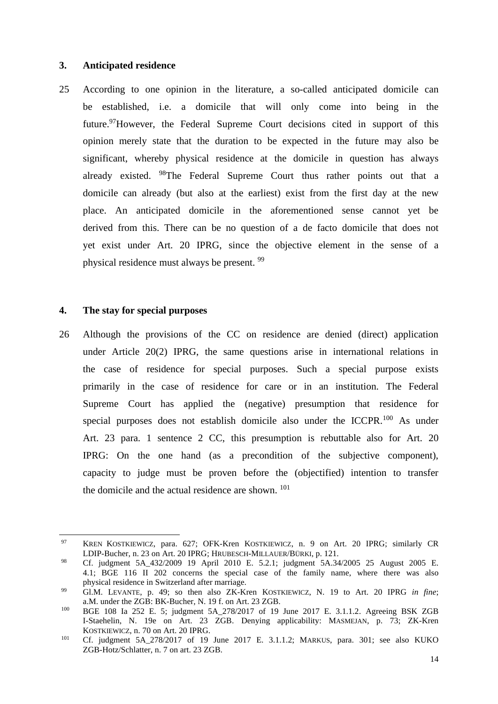## **3. Anticipated residence**

25 According to one opinion in the literature, a so-called anticipated domicile can be established, i.e. a domicile that will only come into being in the future.<sup>97</sup>However, the Federal Supreme Court decisions cited in support of this opinion merely state that the duration to be expected in the future may also be significant, whereby physical residence at the domicile in question has always already existed. <sup>98</sup>The Federal Supreme Court thus rather points out that a domicile can already (but also at the earliest) exist from the first day at the new place. An anticipated domicile in the aforementioned sense cannot yet be derived from this. There can be no question of a de facto domicile that does not yet exist under Art. 20 IPRG, since the objective element in the sense of a physical residence must always be present.<sup>99</sup>

## **4. The stay for special purposes**

26 Although the provisions of the CC on residence are denied (direct) application under Article 20(2) IPRG, the same questions arise in international relations in the case of residence for special purposes. Such a special purpose exists primarily in the case of residence for care or in an institution. The Federal Supreme Court has applied the (negative) presumption that residence for special purposes does not establish domicile also under the ICCPR.<sup>100</sup> As under Art. 23 para. 1 sentence 2 CC, this presumption is rebuttable also for Art. 20 IPRG: On the one hand (as a precondition of the subjective component), capacity to judge must be proven before the (objectified) intention to transfer the domicile and the actual residence are shown. <sup>101</sup>

<sup>97</sup> KREN KOSTKIEWICZ, para. 627; OFK-Kren KOSTKIEWICZ, n. 9 on Art. 20 IPRG; similarly CR LDIP-Bucher, n. 23 on Art. 20 IPRG; HRUBESCH-MILLAUER/BÜRKI, p. 121.

<sup>98</sup> Cf. judgment 5A\_432/2009 19 April 2010 E. 5.2.1; judgment 5A.34/2005 25 August 2005 E. 4.1; BGE 116 II 202 concerns the special case of the family name, where there was also physical residence in Switzerland after marriage.

<sup>99</sup> Gl.M. LEVANTE, p. 49; so then also ZK-Kren KOSTKIEWICZ, N. 19 to Art. 20 IPRG *in fine*; a.M. under the ZGB: BK-Bucher, N. 19 f. on Art. 23 ZGB.

<sup>100</sup> BGE 108 Ia 252 E. 5; judgment 5A\_278/2017 of 19 June 2017 E. 3.1.1.2. Agreeing BSK ZGB I-Staehelin, N. 19e on Art. 23 ZGB. Denying applicability: MASMEJAN, p. 73; ZK-Kren KOSTKIEWICZ, n. 70 on Art. 20 IPRG.

<sup>101</sup> Cf. judgment 5A\_278/2017 of 19 June 2017 E. 3.1.1.2; MARKUS, para. 301; see also KUKO ZGB-Hotz/Schlatter, n. 7 on art. 23 ZGB.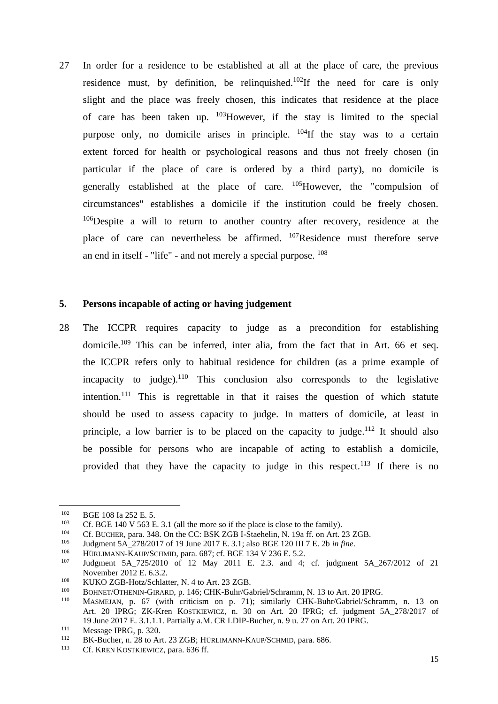27 In order for a residence to be established at all at the place of care, the previous residence must, by definition, be relinquished.<sup>102</sup>If the need for care is only slight and the place was freely chosen, this indicates that residence at the place of care has been taken up. <sup>103</sup>However, if the stay is limited to the special purpose only, no domicile arises in principle.  $^{104}$ If the stay was to a certain extent forced for health or psychological reasons and thus not freely chosen (in particular if the place of care is ordered by a third party), no domicile is generally established at the place of care.  $^{105}$ However, the "compulsion of circumstances" establishes a domicile if the institution could be freely chosen.  $106$ Despite a will to return to another country after recovery, residence at the place of care can nevertheless be affirmed. <sup>107</sup>Residence must therefore serve an end in itself - "life" - and not merely a special purpose. <sup>108</sup>

## **5. Persons incapable of acting or having judgement**

28 The ICCPR requires capacity to judge as a precondition for establishing domicile. <sup>109</sup> This can be inferred, inter alia, from the fact that in Art. 66 et seq. the ICCPR refers only to habitual residence for children (as a prime example of incapacity to judge).<sup>110</sup> This conclusion also corresponds to the legislative intention.<sup>111</sup> This is regrettable in that it raises the question of which statute should be used to assess capacity to judge. In matters of domicile, at least in principle, a low barrier is to be placed on the capacity to judge.<sup>112</sup> It should also be possible for persons who are incapable of acting to establish a domicile, provided that they have the capacity to judge in this respect.<sup>113</sup> If there is no

106 HÜRLIMANN-KAUP/SCHMID, para. 687; cf. BGE 134 V 236 E. 5.2.<br>107 Iudament, 5.4, 725/2010, of 12 May 2011 E. 2.3, and 4:

<sup>&</sup>lt;sup>102</sup> BGE 108 Ia 252 E. 5.<br><sup>103</sup> Cf BGE 140 V 563 E

<sup>&</sup>lt;sup>103</sup> Cf. BGE 140 V 563 E. 3.1 (all the more so if the place is close to the family).<br><sup>104</sup> Cf. BUCUEP, para, <sup>348</sup> On the CC: BSK ZGB J Staghelin, N, 199 ff. on Art. <sup>2</sup>

<sup>&</sup>lt;sup>104</sup> Cf. BUCHER, para. 348. On the CC: BSK ZGB I-Staehelin, N. 19a ff. on Art. 23 ZGB.<br><sup>105</sup> Indemant 5.4, 278/2017 of 10 June 2017 F. 3 1: also BGE 120 III 7 F. 2b in fine

<sup>105</sup> Judgment 5A\_278/2017 of 19 June 2017 E. 3.1; also BGE 120 III 7 E. 2b *in fine*.

Judgment 5A 725/2010 of 12 May 2011 E. 2.3. and 4; cf. judgment 5A 267/2012 of 21 November 2012 E. 6.3.2.

<sup>&</sup>lt;sup>108</sup> KUKO ZGB-Hotz/Schlatter, N. 4 to Art. 23 ZGB.<br><sup>109</sup> BODEE CEUNE OF LED at 146 CUV, Brita(Ga

<sup>109</sup> BOHNET/OTHENIN-GIRARD, p. 146; CHK-Buhr/Gabriel/Schramm, N. 13 to Art. 20 IPRG.

MASMEJAN, p. 67 (with criticism on p. 71); similarly CHK-Buhr/Gabriel/Schramm, n. 13 on Art. 20 IPRG; ZK-Kren KOSTKIEWICZ, n. 30 on Art. 20 IPRG; cf. judgment 5A 278/2017 of 19 June 2017 E. 3.1.1.1. Partially a.M. CR LDIP-Bucher, n. 9 u. 27 on Art. 20 IPRG.

<sup>&</sup>lt;sup>111</sup> Message IPRG, p. 320.<br><sup>112</sup> BK Bucher, p. 28 to Ar

 $112$  BK-Bucher, n. 28 to Art. 23 ZGB; HÜRLIMANN-KAUP/SCHMID, para. 686.

Cf. KREN KOSTKIEWICZ, para. 636 ff.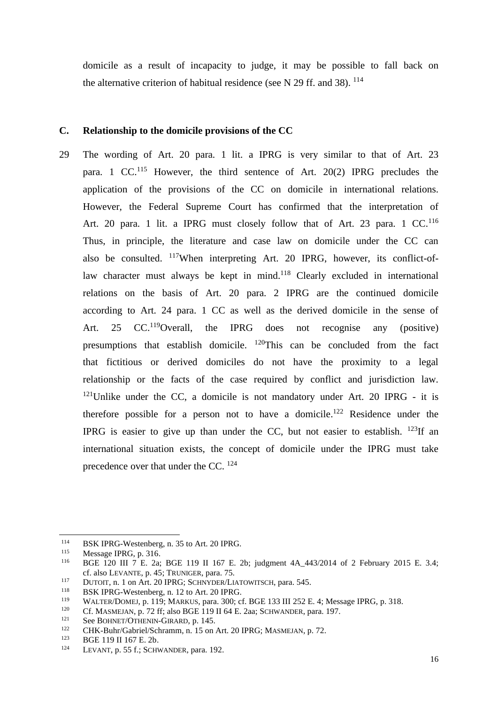domicile as a result of incapacity to judge, it may be possible to fall back on the alternative criterion of habitual residence (see N 29 ff. and 38).  $^{114}$ 

## **C. Relationship to the domicile provisions of the CC**

29 The wording of Art. 20 para. 1 lit. a IPRG is very similar to that of Art. 23 para. 1 CC.<sup>115</sup> However, the third sentence of Art. 20(2) IPRG precludes the application of the provisions of the CC on domicile in international relations. However, the Federal Supreme Court has confirmed that the interpretation of Art. 20 para. 1 lit. a IPRG must closely follow that of Art. 23 para. 1 CC.<sup>116</sup> Thus, in principle, the literature and case law on domicile under the CC can also be consulted. <sup>117</sup>When interpreting Art. 20 IPRG, however, its conflict-oflaw character must always be kept in mind.<sup>118</sup> Clearly excluded in international relations on the basis of Art. 20 para. 2 IPRG are the continued domicile according to Art. 24 para. 1 CC as well as the derived domicile in the sense of Art. 25 CC.<sup>119</sup>Overall, the IPRG does not recognise any (positive) presumptions that establish domicile. <sup>120</sup>This can be concluded from the fact that fictitious or derived domiciles do not have the proximity to a legal relationship or the facts of the case required by conflict and jurisdiction law.  $121$ Unlike under the CC, a domicile is not mandatory under Art. 20 IPRG - it is therefore possible for a person not to have a domicile.<sup>122</sup> Residence under the IPRG is easier to give up than under the CC, but not easier to establish.  $^{123}$ If an international situation exists, the concept of domicile under the IPRG must take precedence over that under the CC. <sup>124</sup>

<sup>&</sup>lt;sup>114</sup> BSK IPRG-Westenberg, n. 35 to Art. 20 IPRG.<br> $\frac{115}{115}$  Message IPPC n. <sup>216</sup>

<sup>&</sup>lt;sup>115</sup> Message IPRG, p. 316.<br><sup>116</sup> RGE 120 III 7 E 23:

<sup>116</sup> BGE 120 III 7 E. 2a; BGE 119 II 167 E. 2b; judgment 4A\_443/2014 of 2 February 2015 E. 3.4; cf. also LEVANTE, p. 45; TRUNIGER, para. 75.

<sup>&</sup>lt;sup>117</sup> DUTOIT, n. 1 on Art. 20 IPRG; SCHNYDER/LIATOWITSCH, para. 545.

<sup>&</sup>lt;sup>118</sup> BSK IPRG-Westenberg, n. 12 to Art. 20 IPRG.

<sup>&</sup>lt;sup>119</sup> WALTER/DOMEJ, p. 119; MARKUS, para. 300; cf. BGE 133 III 252 E. 4; Message IPRG, p. 318.<br><sup>120</sup> Cf. MASMEJAN, p. 72 ff: also BGE 119 II 64 E. 2aa; SCHWANDER, para. 197

<sup>&</sup>lt;sup>120</sup> Cf. MASMEJAN, p. 72 ff; also BGE 119 II 64 E. 2aa; SCHWANDER, para. 197.

<sup>&</sup>lt;sup>121</sup> See BOHNET/OTHENIN-GIRARD, p. 145.<br><sup>122</sup> CHK Bubr/Gobriel/Sobremm, p. 15. op.

<sup>&</sup>lt;sup>122</sup> CHK-Buhr/Gabriel/Schramm, n. 15 on Art. 20 IPRG; MASMEJAN, p. 72.<br><sup>123</sup> BGE 110 II 167 E 2b

<sup>&</sup>lt;sup>123</sup> BGE 119 II 167 E. 2b.<br><sup>124</sup> **LEVANE P. 55 f** · SQUIN

LEVANT, p. 55 f.; SCHWANDER, para. 192.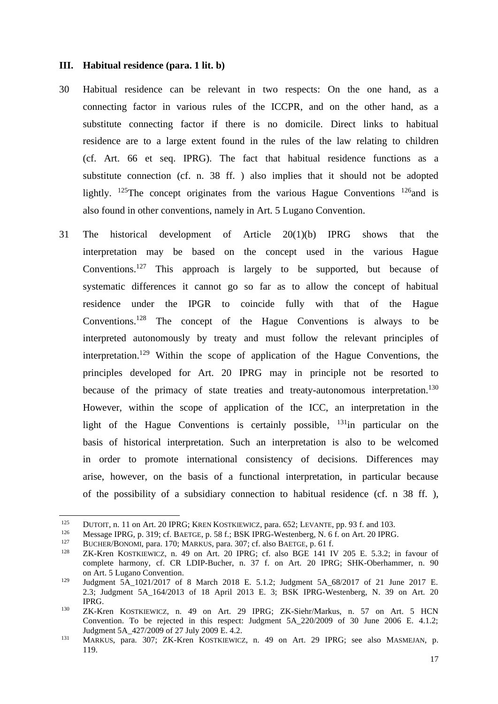#### **III. Habitual residence (para. 1 lit. b)**

- 30 Habitual residence can be relevant in two respects: On the one hand, as a connecting factor in various rules of the ICCPR, and on the other hand, as a substitute connecting factor if there is no domicile. Direct links to habitual residence are to a large extent found in the rules of the law relating to children (cf. Art. 66 et seq. IPRG). The fact that habitual residence functions as a substitute connection (cf. n. 38 ff. ) also implies that it should not be adopted lightly.  $^{125}$ The concept originates from the various Hague Conventions  $^{126}$  and is also found in other conventions, namely in Art. 5 Lugano Convention.
- 31 The historical development of Article 20(1)(b) IPRG shows that the interpretation may be based on the concept used in the various Hague Conventions.<sup>127</sup> This approach is largely to be supported, but because of systematic differences it cannot go so far as to allow the concept of habitual residence under the IPGR to coincide fully with that of the Hague Conventions.<sup>128</sup> The concept of the Hague Conventions is always to be interpreted autonomously by treaty and must follow the relevant principles of interpretation. <sup>129</sup> Within the scope of application of the Hague Conventions, the principles developed for Art. 20 IPRG may in principle not be resorted to because of the primacy of state treaties and treaty-autonomous interpretation.<sup>130</sup> However, within the scope of application of the ICC, an interpretation in the light of the Hague Conventions is certainly possible,  $131$  in particular on the basis of historical interpretation. Such an interpretation is also to be welcomed in order to promote international consistency of decisions. Differences may arise, however, on the basis of a functional interpretation, in particular because of the possibility of a subsidiary connection to habitual residence (cf. n 38 ff. ),

<sup>&</sup>lt;sup>125</sup> DUTOIT, n. 11 on Art. 20 IPRG; KREN KOSTKIEWICZ, para. 652; LEVANTE, pp. 93 f. and 103.<br><sup>126</sup> Message IPPG, n. 319; of BAFTCE, n. 58 f.; RSK IPPG Westenberg, N. 6 f. on Art. 20 IPPG

<sup>126</sup> Message IPRG, p. 319; cf. BAETGE, p. 58 f.; BSK IPRG-Westenberg, N. 6 f. on Art. 20 IPRG.<br>127 BUGUER/BOYOM, pers. 170; MARKUS, pers. 207; of also BAETGE, p. 61 f.

<sup>&</sup>lt;sup>127</sup> BUCHER/BONOMI, para. 170; MARKUS, para. 307; cf. also BAETGE, p. 61 f.<br><sup>128</sup> ZK-Kren, KOSTKJEWICZ, p. 49 op. Art. 20 JPRG: cf. also BGE 141 JV.

ZK-Kren KOSTKIEWICZ, n. 49 on Art. 20 IPRG; cf. also BGE 141 IV 205 E. 5.3.2; in favour of complete harmony, cf. CR LDIP-Bucher, n. 37 f. on Art. 20 IPRG; SHK-Oberhammer, n. 90 on Art. 5 Lugano Convention.

<sup>&</sup>lt;sup>129</sup> Judgment 5A 1021/2017 of 8 March 2018 E. 5.1.2; Judgment 5A 68/2017 of 21 June 2017 E. 2.3; Judgment 5A\_164/2013 of 18 April 2013 E. 3; BSK IPRG-Westenberg, N. 39 on Art. 20 IPRG.

<sup>130</sup> ZK-Kren KOSTKIEWICZ, n. 49 on Art. 29 IPRG; ZK-Siehr/Markus, n. 57 on Art. 5 HCN Convention. To be rejected in this respect: Judgment 5A\_220/2009 of 30 June 2006 E. 4.1.2; Judgment 5A\_427/2009 of 27 July 2009 E. 4.2.

<sup>131</sup> MARKUS, para. 307; ZK-Kren KOSTKIEWICZ, n. 49 on Art. 29 IPRG; see also MASMEJAN, p. 119.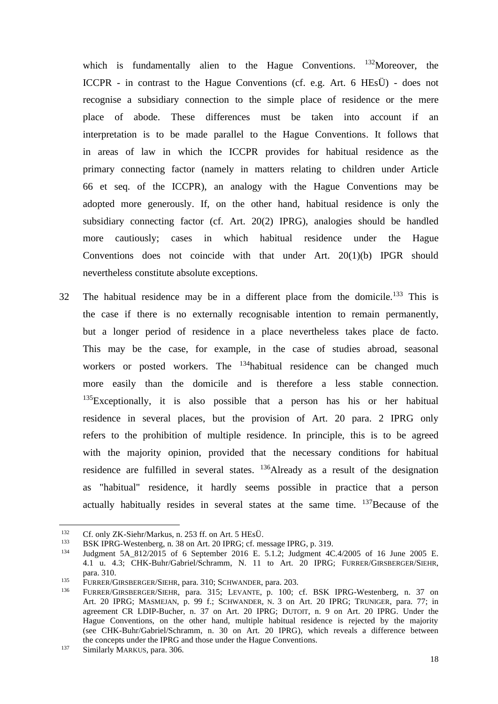which is fundamentally alien to the Hague Conventions.  $^{132}$ Moreover, the ICCPR - in contrast to the Hague Conventions (cf. e.g. Art. 6 HEsÜ) - does not recognise a subsidiary connection to the simple place of residence or the mere place of abode. These differences must be taken into account if an interpretation is to be made parallel to the Hague Conventions. It follows that in areas of law in which the ICCPR provides for habitual residence as the primary connecting factor (namely in matters relating to children under Article 66 et seq. of the ICCPR), an analogy with the Hague Conventions may be adopted more generously. If, on the other hand, habitual residence is only the subsidiary connecting factor (cf. Art. 20(2) IPRG), analogies should be handled more cautiously; cases in which habitual residence under the Hague Conventions does not coincide with that under Art. 20(1)(b) IPGR should nevertheless constitute absolute exceptions.

32 The habitual residence may be in a different place from the domicile.<sup>133</sup> This is the case if there is no externally recognisable intention to remain permanently, but a longer period of residence in a place nevertheless takes place de facto. This may be the case, for example, in the case of studies abroad, seasonal workers or posted workers. The <sup>134</sup>habitual residence can be changed much more easily than the domicile and is therefore a less stable connection.  $135$ Exceptionally, it is also possible that a person has his or her habitual residence in several places, but the provision of Art. 20 para. 2 IPRG only refers to the prohibition of multiple residence. In principle, this is to be agreed with the majority opinion, provided that the necessary conditions for habitual residence are fulfilled in several states. <sup>136</sup>Already as a result of the designation as "habitual" residence, it hardly seems possible in practice that a person actually habitually resides in several states at the same time. <sup>137</sup>Because of the

<sup>&</sup>lt;sup>132</sup> Cf. only ZK-Siehr/Markus, n. 253 ff. on Art. 5 HEsÜ.<br><sup>133</sup> PS*V*, UDC, Wostenberg, n. 28, on Art. 20 UDC: of magnetic

<sup>133</sup> BSK IPRG-Westenberg, n. 38 on Art. 20 IPRG; cf. message IPRG, p. 319.<br>134 Indemnat, 5.8, 812/2015, cf. 6, Santamber, 2016, E. 5.1.21 Indemnat, 4C

<sup>134</sup> Judgment 5A\_812/2015 of 6 September 2016 E. 5.1.2; Judgment 4C.4/2005 of 16 June 2005 E. 4.1 u. 4.3; CHK-Buhr/Gabriel/Schramm, N. 11 to Art. 20 IPRG; FURRER/GIRSBERGER/SIEHR, para. 310.

<sup>135</sup> FURRER/GIRSBERGER/SIEHR, para. 310; SCHWANDER, para. 203.<br>136 EURRER/GIRSBERGER/SIEHR, para. 215; J. EVANTE, a. 100;

FURRER/GIRSBERGER/SIEHR, para. 315; LEVANTE, p. 100; cf. BSK IPRG-Westenberg, n. 37 on Art. 20 IPRG; MASMEJAN, p. 99 f.; SCHWANDER, N. 3 on Art. 20 IPRG; TRUNIGER, para. 77; in agreement CR LDIP-Bucher, n. 37 on Art. 20 IPRG; DUTOIT, n. 9 on Art. 20 IPRG. Under the Hague Conventions, on the other hand, multiple habitual residence is rejected by the majority (see CHK-Buhr/Gabriel/Schramm, n. 30 on Art. 20 IPRG), which reveals a difference between the concepts under the IPRG and those under the Hague Conventions.

<sup>&</sup>lt;sup>137</sup> Similarly MARKUS, para. 306.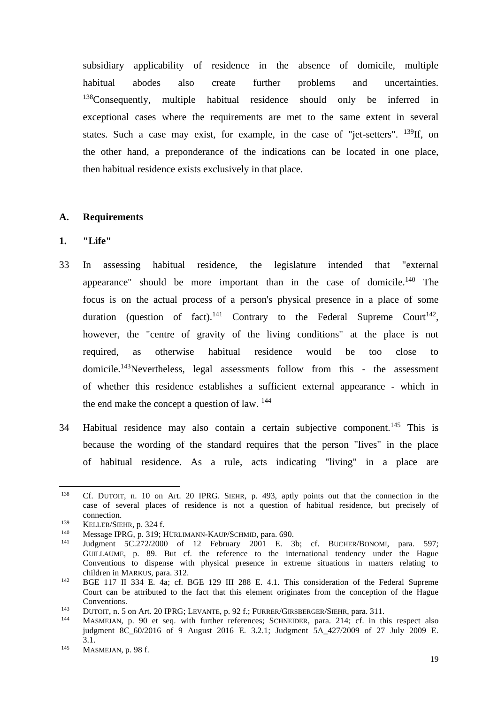subsidiary applicability of residence in the absence of domicile, multiple habitual abodes also create further problems and uncertainties. <sup>138</sup>Consequently, multiple habitual residence should only be inferred in exceptional cases where the requirements are met to the same extent in several states. Such a case may exist, for example, in the case of "jet-setters".  $^{139}$ If, on the other hand, a preponderance of the indications can be located in one place, then habitual residence exists exclusively in that place.

# **A. Requirements**

## **1. "Life"**

- 33 In assessing habitual residence, the legislature intended that "external appearance" should be more important than in the case of domicile.<sup>140</sup> The focus is on the actual process of a person's physical presence in a place of some duration (question of fact).<sup>141</sup> Contrary to the Federal Supreme Court<sup>142</sup>, however, the "centre of gravity of the living conditions" at the place is not required, as otherwise habitual residence would be too close to domicile.<sup>143</sup>Nevertheless, legal assessments follow from this - the assessment of whether this residence establishes a sufficient external appearance - which in the end make the concept a question of law.  $144$
- 34 Habitual residence may also contain a certain subjective component.<sup>145</sup> This is because the wording of the standard requires that the person "lives" in the place of habitual residence. As a rule, acts indicating "living" in a place are

<sup>&</sup>lt;sup>138</sup> Cf. DUTOIT, n. 10 on Art. 20 IPRG. SIEHR, p. 493, aptly points out that the connection in the case of several places of residence is not a question of habitual residence, but precisely of connection.

<sup>&</sup>lt;sup>139</sup> KELLER/SIEHR, p. 324 f.<br>
Message IPPG, p. 310: L

<sup>&</sup>lt;sup>140</sup> Message IPRG, p. 319; HÜRLIMANN-KAUP/SCHMID, para. 690.<br><sup>141</sup> Judemant, 5C 272/2000, of 12. February. 2001, F. 2

Judgment 5C.272/2000 of 12 February 2001 E. 3b; cf. BUCHER/BONOMI, para. 597; GUILLAUME, p. 89. But cf. the reference to the international tendency under the Hague Conventions to dispense with physical presence in extreme situations in matters relating to children in MARKUS, para. 312.

<sup>&</sup>lt;sup>142</sup> BGE 117 II 334 E. 4a; cf. BGE 129 III 288 E. 4.1. This consideration of the Federal Supreme Court can be attributed to the fact that this element originates from the conception of the Hague Conventions.

<sup>&</sup>lt;sup>143</sup> DUTOIT, n. 5 on Art. 20 IPRG; LEVANTE, p. 92 f.; FURRER/GIRSBERGER/SIEHR, para. 311.

MASMEJAN, p. 90 et seq. with further references; SCHNEIDER, para. 214; cf. in this respect also judgment 8C\_60/2016 of 9 August 2016 E. 3.2.1; Judgment 5A\_427/2009 of 27 July 2009 E. 3.1.

<sup>145</sup> MASMEJAN, p. 98 f.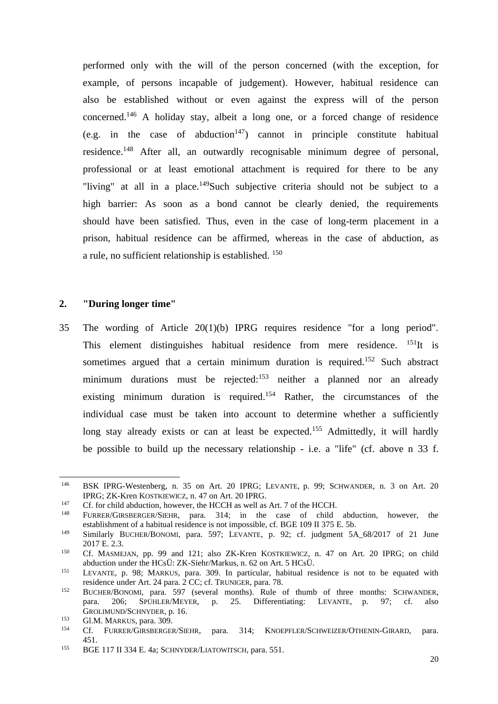performed only with the will of the person concerned (with the exception, for example, of persons incapable of judgement). However, habitual residence can also be established without or even against the express will of the person concerned.<sup>146</sup> A holiday stay, albeit a long one, or a forced change of residence (e.g. in the case of abduction<sup>147</sup>) cannot in principle constitute habitual residence.<sup>148</sup> After all, an outwardly recognisable minimum degree of personal, professional or at least emotional attachment is required for there to be any "living" at all in a place.<sup>149</sup>Such subjective criteria should not be subject to a high barrier: As soon as a bond cannot be clearly denied, the requirements should have been satisfied. Thus, even in the case of long-term placement in a prison, habitual residence can be affirmed, whereas in the case of abduction, as a rule, no sufficient relationship is established. <sup>150</sup>

#### **2. "During longer time"**

35 The wording of Article 20(1)(b) IPRG requires residence "for a long period". This element distinguishes habitual residence from mere residence.  $^{151}$ It is sometimes argued that a certain minimum duration is required.<sup>152</sup> Such abstract minimum durations must be rejected:<sup>153</sup> neither a planned nor an already existing minimum duration is required.<sup>154</sup> Rather, the circumstances of the individual case must be taken into account to determine whether a sufficiently long stay already exists or can at least be expected.<sup>155</sup> Admittedly, it will hardly be possible to build up the necessary relationship - i.e. a "life" (cf. above n 33 f.

<sup>146</sup> BSK IPRG-Westenberg, n. 35 on Art. 20 IPRG; LEVANTE, p. 99; SCHWANDER, n. 3 on Art. 20 IPRG; ZK-Kren KOSTKIEWICZ, n. 47 on Art. 20 IPRG.

<sup>&</sup>lt;sup>147</sup> Cf. for child abduction, however, the HCCH as well as Art. 7 of the HCCH.

<sup>148</sup> FURRER/GIRSBERGER/SIEHR, para. 314; in the case of child abduction, however, the establishment of a habitual residence is not impossible, cf. BGE 109 II 375 E. 5b.

<sup>149</sup> Similarly BUCHER/BONOMI, para. 597; LEVANTE, p. 92; cf. judgment 5A\_68/2017 of 21 June 2017 E. 2.3.

<sup>150</sup> Cf. MASMEJAN, pp. 99 and 121; also ZK-Kren KOSTKIEWICZ, n. 47 on Art. 20 IPRG; on child abduction under the HCsÜ: ZK-Siehr/Markus, n. 62 on Art. 5 HCsÜ.

<sup>151</sup> LEVANTE, p. 98; MARKUS, para. 309. In particular, habitual residence is not to be equated with residence under Art. 24 para. 2 CC; cf. TRUNIGER, para. 78.

<sup>152</sup> BUCHER/BONOMI, para. 597 (several months). Rule of thumb of three months: SCHWANDER, para. 206; SPÜHLER/MEYER, p. 25. Differentiating: LEVANTE, p. 97; cf. also GROLIMUND/SCHNYDER, p. 16.

 $^{153}$  Gl.M. MARKUS, para. 309.

<sup>154</sup> Cf. FURRER/GIRSBERGER/SIEHR, para. 314; KNOEPFLER/SCHWEIZER/OTHENIN-GIRARD, para. 451.

<sup>155</sup> BGE 117 II 334 E. 4a; SCHNYDER/LIATOWITSCH, para. 551.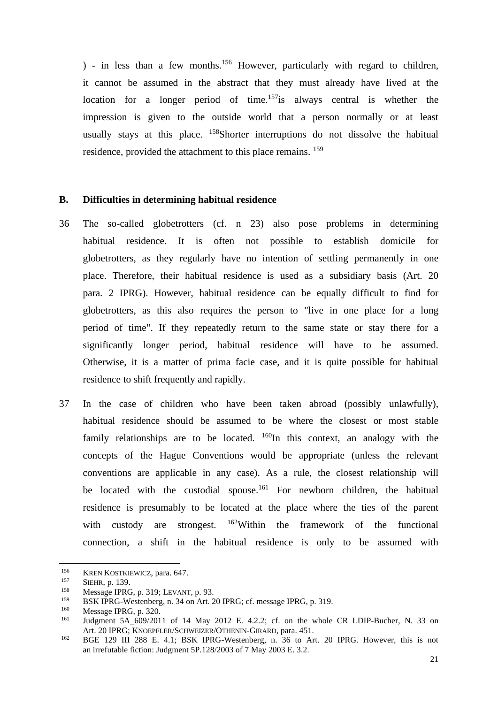) - in less than a few months.<sup>156</sup> However, particularly with regard to children, it cannot be assumed in the abstract that they must already have lived at the location for a longer period of time.<sup>157</sup>is always central is whether the impression is given to the outside world that a person normally or at least usually stays at this place. <sup>158</sup>Shorter interruptions do not dissolve the habitual residence, provided the attachment to this place remains. <sup>159</sup>

# **B. Difficulties in determining habitual residence**

- 36 The so-called globetrotters (cf. n 23) also pose problems in determining habitual residence. It is often not possible to establish domicile for globetrotters, as they regularly have no intention of settling permanently in one place. Therefore, their habitual residence is used as a subsidiary basis (Art. 20 para. 2 IPRG). However, habitual residence can be equally difficult to find for globetrotters, as this also requires the person to "live in one place for a long period of time". If they repeatedly return to the same state or stay there for a significantly longer period, habitual residence will have to be assumed. Otherwise, it is a matter of prima facie case, and it is quite possible for habitual residence to shift frequently and rapidly.
- 37 In the case of children who have been taken abroad (possibly unlawfully), habitual residence should be assumed to be where the closest or most stable family relationships are to be located.  $160$ In this context, an analogy with the concepts of the Hague Conventions would be appropriate (unless the relevant conventions are applicable in any case). As a rule, the closest relationship will be located with the custodial spouse.<sup>161</sup> For newborn children, the habitual residence is presumably to be located at the place where the ties of the parent with custody are strongest. <sup>162</sup>Within the framework of the functional connection, a shift in the habitual residence is only to be assumed with

<sup>&</sup>lt;sup>156</sup> KREN KOSTKIEWICZ, para. 647.

<sup>&</sup>lt;sup>157</sup> SIEHR, p. 139.

<sup>&</sup>lt;sup>158</sup> Message IPRG, p. 319; LEVANT, p. 93.

<sup>&</sup>lt;sup>159</sup> BSK IPRG-Westenberg, n. 34 on Art. 20 IPRG; cf. message IPRG, p. 319.<br><sup>160</sup> Message IPPG, p. 320

<sup>&</sup>lt;sup>160</sup> Message IPRG, p. 320.<br> $^{161}$  Iudement, 5.4, 600/201

Judgment 5A\_609/2011 of 14 May 2012 E. 4.2.2; cf. on the whole CR LDIP-Bucher, N. 33 on Art. 20 IPRG; KNOEPFLER/SCHWEIZER/OTHENIN-GIRARD, para. 451.

<sup>&</sup>lt;sup>162</sup> BGE 129 III 288 E. 4.1; BSK IPRG-Westenberg, n. 36 to Art. 20 IPRG. However, this is not an irrefutable fiction: Judgment 5P.128/2003 of 7 May 2003 E. 3.2.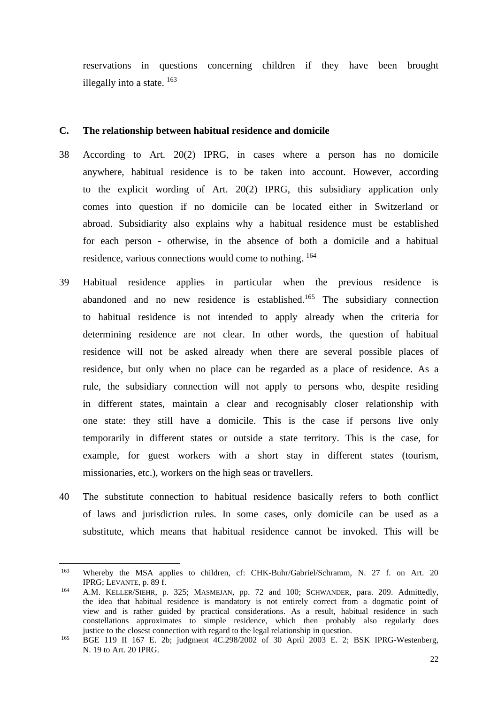reservations in questions concerning children if they have been brought illegally into a state.  $^{163}$ 

## **C. The relationship between habitual residence and domicile**

- 38 According to Art. 20(2) IPRG, in cases where a person has no domicile anywhere, habitual residence is to be taken into account. However, according to the explicit wording of Art. 20(2) IPRG, this subsidiary application only comes into question if no domicile can be located either in Switzerland or abroad. Subsidiarity also explains why a habitual residence must be established for each person - otherwise, in the absence of both a domicile and a habitual residence, various connections would come to nothing. <sup>164</sup>
- 39 Habitual residence applies in particular when the previous residence is abandoned and no new residence is established.<sup>165</sup> The subsidiary connection to habitual residence is not intended to apply already when the criteria for determining residence are not clear. In other words, the question of habitual residence will not be asked already when there are several possible places of residence, but only when no place can be regarded as a place of residence. As a rule, the subsidiary connection will not apply to persons who, despite residing in different states, maintain a clear and recognisably closer relationship with one state: they still have a domicile. This is the case if persons live only temporarily in different states or outside a state territory. This is the case, for example, for guest workers with a short stay in different states (tourism, missionaries, etc.), workers on the high seas or travellers.
- 40 The substitute connection to habitual residence basically refers to both conflict of laws and jurisdiction rules. In some cases, only domicile can be used as a substitute, which means that habitual residence cannot be invoked. This will be

<sup>&</sup>lt;sup>163</sup> Whereby the MSA applies to children, cf: CHK-Buhr/Gabriel/Schramm, N. 27 f. on Art. 20 IPRG; LEVANTE, p. 89 f.

<sup>164</sup> A.M. KELLER/SIEHR, p. 325; MASMEJAN, pp. 72 and 100; SCHWANDER, para. 209. Admittedly, the idea that habitual residence is mandatory is not entirely correct from a dogmatic point of view and is rather guided by practical considerations. As a result, habitual residence in such constellations approximates to simple residence, which then probably also regularly does justice to the closest connection with regard to the legal relationship in question.

<sup>&</sup>lt;sup>165</sup> BGE 119 II 167 E. 2b; judgment  $4C.298/2002$  of 30 April 2003 E. 2; BSK IPRG-Westenberg, N. 19 to Art. 20 IPRG.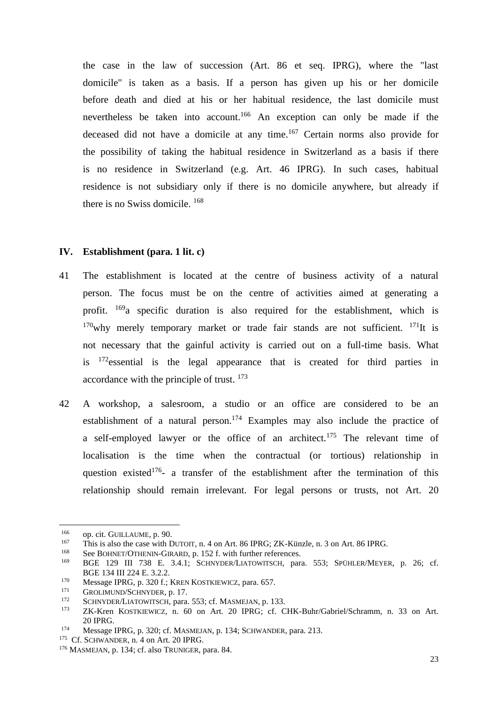the case in the law of succession (Art. 86 et seq. IPRG), where the "last domicile" is taken as a basis. If a person has given up his or her domicile before death and died at his or her habitual residence, the last domicile must nevertheless be taken into account.<sup>166</sup> An exception can only be made if the deceased did not have a domicile at any time.<sup>167</sup> Certain norms also provide for the possibility of taking the habitual residence in Switzerland as a basis if there is no residence in Switzerland (e.g. Art. 46 IPRG). In such cases, habitual residence is not subsidiary only if there is no domicile anywhere, but already if there is no Swiss domicile. <sup>168</sup>

#### **IV. Establishment (para. 1 lit. c)**

- 41 The establishment is located at the centre of business activity of a natural person. The focus must be on the centre of activities aimed at generating a profit. <sup>169</sup>a specific duration is also required for the establishment, which is  $170$ why merely temporary market or trade fair stands are not sufficient.  $171$ It is not necessary that the gainful activity is carried out on a full-time basis. What is <sup>172</sup>essential is the legal appearance that is created for third parties in accordance with the principle of trust. <sup>173</sup>
- 42 A workshop, a salesroom, a studio or an office are considered to be an establishment of a natural person.<sup>174</sup> Examples may also include the practice of a self-employed lawyer or the office of an architect.<sup>175</sup> The relevant time of localisation is the time when the contractual (or tortious) relationship in question existed<sup>176</sup>- a transfer of the establishment after the termination of this relationship should remain irrelevant. For legal persons or trusts, not Art. 20

<sup>&</sup>lt;sup>166</sup> op. cit. GUILLAUME, p. 90.<br><sup>167</sup> This is also the case with D

<sup>&</sup>lt;sup>167</sup> This is also the case with DUTOIT, n. 4 on Art. 86 IPRG; ZK-Künzle, n. 3 on Art. 86 IPRG.<br><sup>168</sup> See BOUNET (OTUDAN) CINAD at 152.5 with further references.

<sup>&</sup>lt;sup>168</sup> See BOHNET/OTHENIN-GIRARD, p. 152 f. with further references.<br><sup>169</sup> BGE 120 III 738 E 3.4.1; SCUNNER LATOWITSCU, per

<sup>169</sup> BGE 129 III 738 E. 3.4.1; SCHNYDER/LIATOWITSCH, para. 553; SPÜHLER/MEYER, p. 26; cf. BGE 134 III 224 E. 3.2.2.

<sup>&</sup>lt;sup>170</sup> Message IPRG, p. 320 f.; KREN KOSTKIEWICZ, para. 657.

 $^{171}$  GROLIMUND/SCHNYDER, p. 17.

<sup>&</sup>lt;sup>172</sup> SCHNYDER/LIATOWITSCH, para. 553; cf. MASMEJAN, p. 133.<br><sup>173</sup> ZK Kran, KOSTKJEWICZ, p. 60, op. Art. 20, JPBG: cf. C

ZK-Kren KOSTKIEWICZ, n. 60 on Art. 20 IPRG; cf. CHK-Buhr/Gabriel/Schramm, n. 33 on Art. 20 IPRG.

<sup>174</sup> Message IPRG, p. 320; cf. MASMEJAN, p. 134; SCHWANDER, para. 213.

<sup>&</sup>lt;sup>175</sup> Cf. SCHWANDER, n. 4 on Art. 20 IPRG.

<sup>176</sup> MASMEJAN, p. 134; cf. also TRUNIGER, para. 84.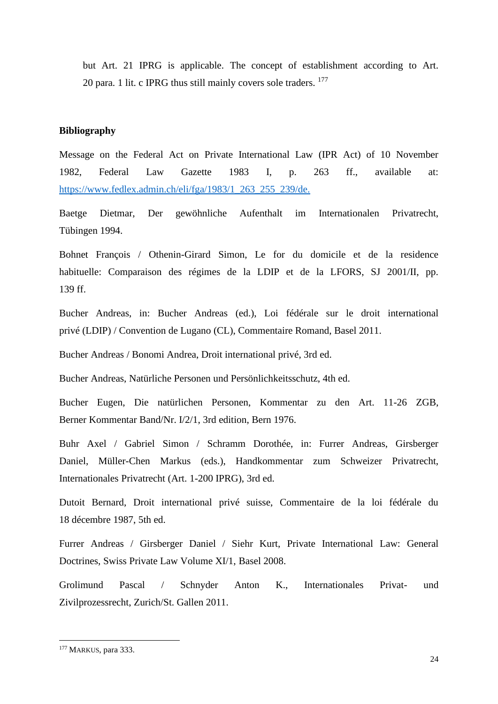but Art. 21 IPRG is applicable. The concept of establishment according to Art. 20 para. 1 lit. c IPRG thus still mainly covers sole traders. <sup>177</sup>

#### **Bibliography**

Message on the Federal Act on Private International Law (IPR Act) of 10 November 1982, Federal Law Gazette 1983 I, p. 263 ff., available at: [https://www.fedlex.admin.ch/eli/fga/1983/1\\_263\\_255\\_239/de.](https://www.fedlex.admin.ch/eli/fga/1983/1_263_255_239/de) 

Baetge Dietmar, Der gewöhnliche Aufenthalt im Internationalen Privatrecht, Tübingen 1994.

Bohnet François / Othenin-Girard Simon, Le for du domicile et de la residence habituelle: Comparaison des régimes de la LDIP et de la LFORS, SJ 2001/II, pp. 139 ff.

Bucher Andreas, in: Bucher Andreas (ed.), Loi fédérale sur le droit international privé (LDIP) / Convention de Lugano (CL), Commentaire Romand, Basel 2011.

Bucher Andreas / Bonomi Andrea, Droit international privé, 3rd ed.

Bucher Andreas, Natürliche Personen und Persönlichkeitsschutz, 4th ed.

Bucher Eugen, Die natürlichen Personen, Kommentar zu den Art. 11-26 ZGB, Berner Kommentar Band/Nr. I/2/1, 3rd edition, Bern 1976.

Buhr Axel / Gabriel Simon / Schramm Dorothée, in: Furrer Andreas, Girsberger Daniel, Müller-Chen Markus (eds.), Handkommentar zum Schweizer Privatrecht, Internationales Privatrecht (Art. 1-200 IPRG), 3rd ed.

Dutoit Bernard, Droit international privé suisse, Commentaire de la loi fédérale du 18 décembre 1987, 5th ed.

Furrer Andreas / Girsberger Daniel / Siehr Kurt, Private International Law: General Doctrines, Swiss Private Law Volume XI/1, Basel 2008.

Grolimund Pascal / Schnyder Anton K., Internationales Privat- und Zivilprozessrecht, Zurich/St. Gallen 2011.

<sup>&</sup>lt;sup>177</sup> MARKUS, para 333.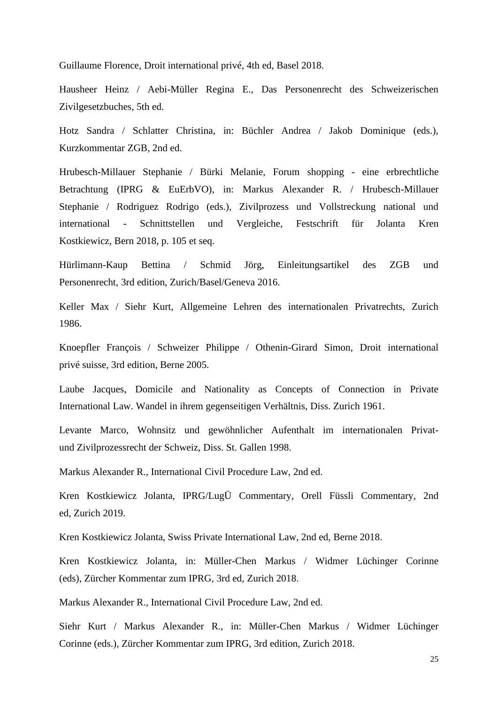Guillaume Florence, Droit international privé, 4th ed, Basel 2018.

Hausheer Heinz / Aebi-Müller Regina E., Das Personenrecht des Schweizerischen Zivilgesetzbuches, 5th ed.

Hotz Sandra / Schlatter Christina, in: Büchler Andrea / Jakob Dominique (eds.), Kurzkommentar ZGB, 2nd ed.

Hrubesch-Millauer Stephanie / Bürki Melanie, Forum shopping - eine erbrechtliche Betrachtung (IPRG & EuErbVO), in: Markus Alexander R. / Hrubesch-Millauer Stephanie / Rodriguez Rodrigo (eds.), Zivilprozess und Vollstreckung national und international - Schnittstellen und Vergleiche, Festschrift für Jolanta Kren Kostkiewicz, Bern 2018, p. 105 et seq.

Hürlimann-Kaup Bettina / Schmid Jörg, Einleitungsartikel des ZGB und Personenrecht, 3rd edition, Zurich/Basel/Geneva 2016.

Keller Max / Siehr Kurt, Allgemeine Lehren des internationalen Privatrechts, Zurich 1986.

Knoepfler François / Schweizer Philippe / Othenin-Girard Simon, Droit international privé suisse, 3rd edition, Berne 2005.

Laube Jacques, Domicile and Nationality as Concepts of Connection in Private International Law. Wandel in ihrem gegenseitigen Verhältnis, Diss. Zurich 1961.

Levante Marco, Wohnsitz und gewöhnlicher Aufenthalt im internationalen Privatund Zivilprozessrecht der Schweiz, Diss. St. Gallen 1998.

Markus Alexander R., International Civil Procedure Law, 2nd ed.

Kren Kostkiewicz Jolanta, IPRG/LugÜ Commentary, Orell Füssli Commentary, 2nd ed, Zurich 2019.

Kren Kostkiewicz Jolanta, Swiss Private International Law, 2nd ed, Berne 2018.

Kren Kostkiewicz Jolanta, in: Müller-Chen Markus / Widmer Lüchinger Corinne (eds), Zürcher Kommentar zum IPRG, 3rd ed, Zurich 2018.

Markus Alexander R., International Civil Procedure Law, 2nd ed.

Siehr Kurt / Markus Alexander R., in: Müller-Chen Markus / Widmer Lüchinger Corinne (eds.), Zürcher Kommentar zum IPRG, 3rd edition, Zurich 2018.

25